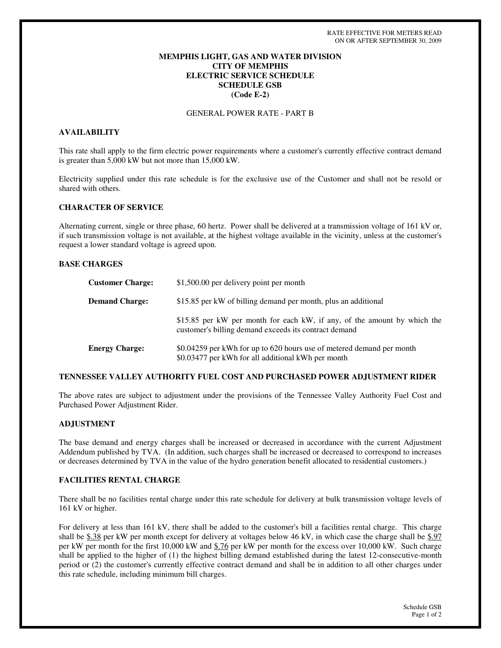## **MEMPHIS LIGHT, GAS AND WATER DIVISION CITY OF MEMPHIS ELECTRIC SERVICE SCHEDULE SCHEDULE GSB (Code E-2)**

GENERAL POWER RATE - PART B

# **AVAILABILITY**

This rate shall apply to the firm electric power requirements where a customer's currently effective contract demand is greater than 5,000 kW but not more than 15,000 kW.

Electricity supplied under this rate schedule is for the exclusive use of the Customer and shall not be resold or shared with others.

## **CHARACTER OF SERVICE**

Alternating current, single or three phase, 60 hertz. Power shall be delivered at a transmission voltage of 161 kV or, if such transmission voltage is not available, at the highest voltage available in the vicinity, unless at the customer's request a lower standard voltage is agreed upon.

### **BASE CHARGES**

| <b>Customer Charge:</b> | \$1,500.00 per delivery point per month                                                                                           |
|-------------------------|-----------------------------------------------------------------------------------------------------------------------------------|
| <b>Demand Charge:</b>   | \$15.85 per kW of billing demand per month, plus an additional                                                                    |
|                         | \$15.85 per kW per month for each kW, if any, of the amount by which the<br>customer's billing demand exceeds its contract demand |
| <b>Energy Charge:</b>   | \$0.04259 per kWh for up to 620 hours use of metered demand per month<br>\$0.03477 per kWh for all additional kWh per month       |

### **TENNESSEE VALLEY AUTHORITY FUEL COST AND PURCHASED POWER ADJUSTMENT RIDER**

The above rates are subject to adjustment under the provisions of the Tennessee Valley Authority Fuel Cost and Purchased Power Adjustment Rider.

## **ADJUSTMENT**

The base demand and energy charges shall be increased or decreased in accordance with the current Adjustment Addendum published by TVA. (In addition, such charges shall be increased or decreased to correspond to increases or decreases determined by TVA in the value of the hydro generation benefit allocated to residential customers.)

### **FACILITIES RENTAL CHARGE**

There shall be no facilities rental charge under this rate schedule for delivery at bulk transmission voltage levels of 161 kV or higher.

For delivery at less than 161 kV, there shall be added to the customer's bill a facilities rental charge. This charge shall be \$.38 per kW per month except for delivery at voltages below 46 kV, in which case the charge shall be \$.97 per kW per month for the first 10,000 kW and \$.76 per kW per month for the excess over 10,000 kW. Such charge shall be applied to the higher of (1) the highest billing demand established during the latest 12-consecutive-month period or (2) the customer's currently effective contract demand and shall be in addition to all other charges under this rate schedule, including minimum bill charges.